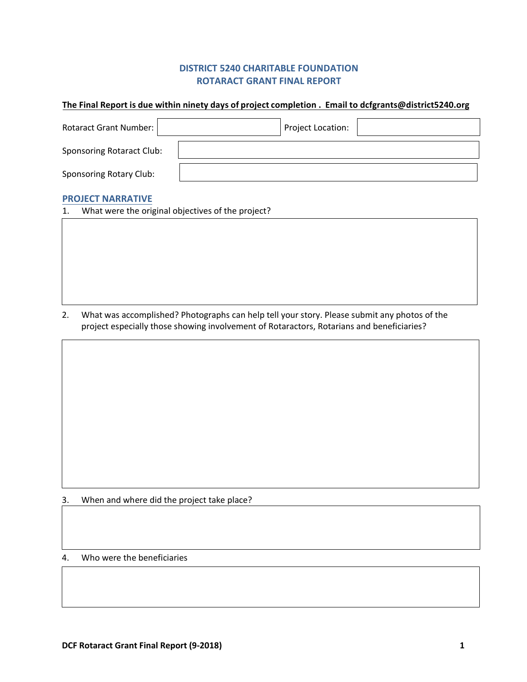# **DISTRICT 5240 CHARITABLE FOUNDATION ROTARACT GRANT FINAL REPORT**

#### **The Final Report is due within ninety days of project completion . Email to dcfgrants@district5240.org**

| Rotaract Grant Number:           | Project Location: |  |
|----------------------------------|-------------------|--|
| <b>Sponsoring Rotaract Club:</b> |                   |  |
| <b>Sponsoring Rotary Club:</b>   |                   |  |

## **PROJECT NARRATIVE**

| 1. | What were the original objectives of the project? |  |  |
|----|---------------------------------------------------|--|--|
|----|---------------------------------------------------|--|--|

2. What was accomplished? Photographs can help tell your story. Please submit any photos of the project especially those showing involvement of Rotaractors, Rotarians and beneficiaries?

3. When and where did the project take place?

## 4. Who were the beneficiaries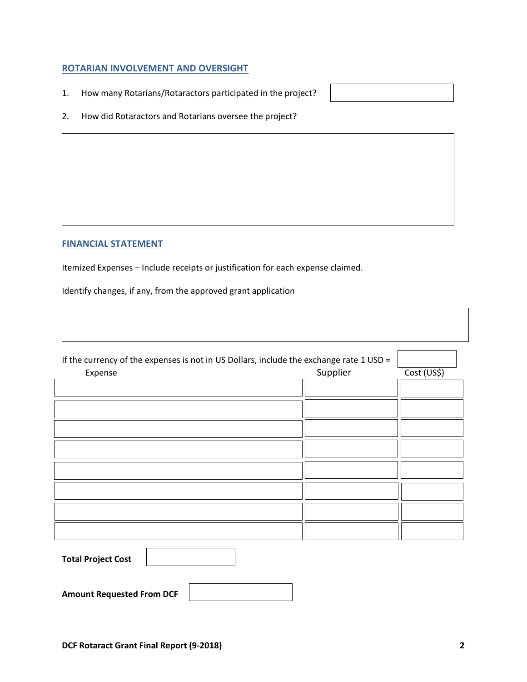### **ROTARIAN INVOLVEMENT AND OVERSIGHT**

- 1. How many Rotarians/Rotaractors participated in the project?
- 
- 2. How did Rotaractors and Rotarians oversee the project?

## **FINANCIAL STATEMENT**

Itemized Expenses – Include receipts or justification for each expense claimed.

Identify changes, if any, from the approved grant application

| If the currency of the expenses is not in US Dollars, include the exchange rate 1 USD = |          |             |
|-----------------------------------------------------------------------------------------|----------|-------------|
| Expense                                                                                 | Supplier | Cost (US\$) |
|                                                                                         |          |             |
|                                                                                         |          |             |
|                                                                                         |          |             |
|                                                                                         |          |             |
|                                                                                         |          |             |
|                                                                                         |          |             |
|                                                                                         |          |             |
|                                                                                         |          |             |
| <b>Total Project Cost</b>                                                               |          |             |
| <b>Amount Requested From DCF</b>                                                        |          |             |